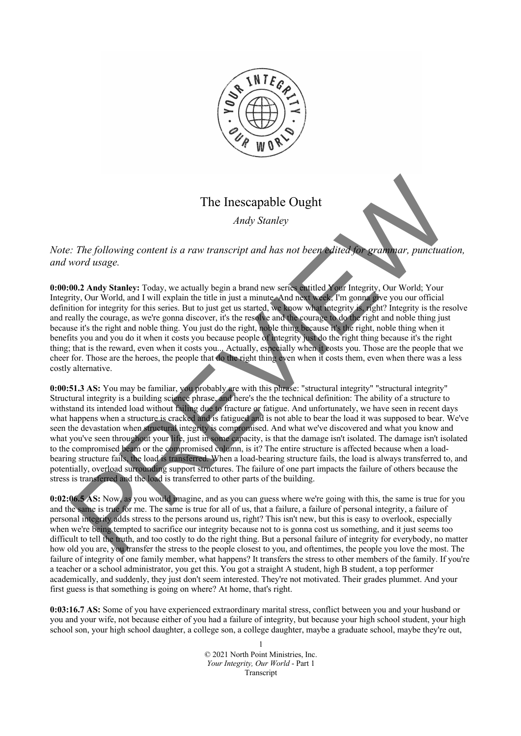

## The Inescapable Ought

*Andy Stanley* 

*Note: The following content is a raw transcript and has not been edited for grammar, punctuation, and word usage.*

**0:00:00.2 Andy Stanley:** Today, we actually begin a brand new series entitled Your Integrity, Our World; Your Integrity, Our World, and I will explain the title in just a minute. And next week, I'm gonna give you our official definition for integrity for this series. But to just get us started, we know what integrity is, right? Integrity is the resolve and really the courage, as we're gonna discover, it's the resolve and the courage to do the right and noble thing just because it's the right and noble thing. You just do the right, noble thing because it's the right, noble thing when it benefits you and you do it when it costs you because people of integrity just do the right thing because it's the right thing; that is the reward, even when it costs you... Actually, especially when it costs you. Those are the people that we cheer for. Those are the heroes, the people that do the right thing even when it costs them, even when there was a less costly alternative.

**0:00:51.3 AS:** You may be familiar, you probably are with this phrase: "structural integrity" "structural integrity" Structural integrity is a building science phrase, and here's the the technical definition: The ability of a structure to withstand its intended load without failing due to fracture or fatigue. And unfortunately, we have seen in recent days what happens when a structure is cracked and is fatigued and is not able to bear the load it was supposed to bear. We've seen the devastation when structural integrity is compromised. And what we've discovered and what you know and what you've seen throughout your life, just in some capacity, is that the damage isn't isolated. The damage isn't isolated to the compromised beam or the compromised column, is it? The entire structure is affected because when a loadbearing structure fails, the load is transferred. When a load-bearing structure fails, the load is always transferred to, and potentially, overload surrounding support structures. The failure of one part impacts the failure of others because the stress is transferred and the load is transferred to other parts of the building. The Inescenable Ought<br>
Andy Stanley<br>
Andy Stanley<br>
The following content is a raw transcript and has not been **dited** for grammar, punctuation<br>for the following content is a raw transcript and has not been dited your gram

**0:02:06.5 AS:** Now, as you would imagine, and as you can guess where we're going with this, the same is true for you and the same is true for me. The same is true for all of us, that a failure, a failure of personal integrity, a failure of personal integrity adds stress to the persons around us, right? This isn't new, but this is easy to overlook, especially when we're being tempted to sacrifice our integrity because not to is gonna cost us something, and it just seems too difficult to tell the truth, and too costly to do the right thing. But a personal failure of integrity for everybody, no matter how old you are, you transfer the stress to the people closest to you, and oftentimes, the people you love the most. The failure of integrity of one family member, what happens? It transfers the stress to other members of the family. If you're a teacher or a school administrator, you get this. You got a straight A student, high B student, a top performer academically, and suddenly, they just don't seem interested. They're not motivated. Their grades plummet. And your first guess is that something is going on where? At home, that's right.

**0:03:16.7 AS:** Some of you have experienced extraordinary marital stress, conflict between you and your husband or you and your wife, not because either of you had a failure of integrity, but because your high school student, your high school son, your high school daughter, a college son, a college daughter, maybe a graduate school, maybe they're out,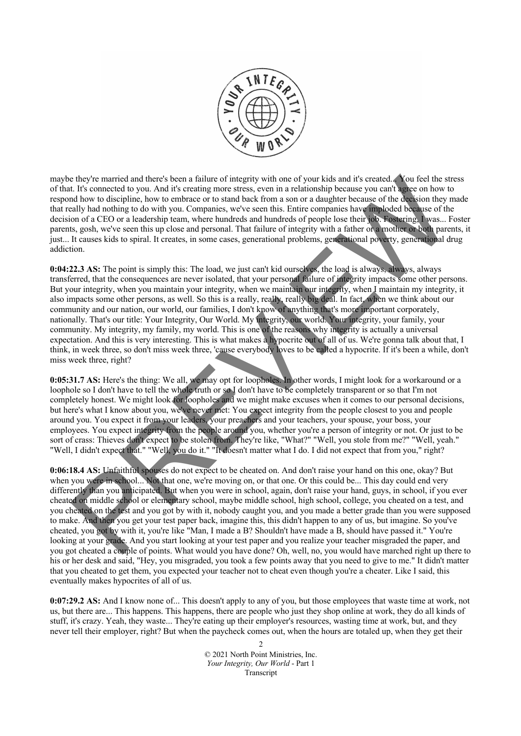

maybe they're married and there's been a failure of integrity with one of your kids and it's created... You feel the stress of that. It's connected to you. And it's creating more stress, even in a relationship because you can't agree on how to respond how to discipline, how to embrace or to stand back from a son or a daughter because of the decision they made that really had nothing to do with you. Companies, we've seen this. Entire companies have imploded because of the decision of a CEO or a leadership team, where hundreds and hundreds of people lose their job. Fostering, I was... Foster parents, gosh, we've seen this up close and personal. That failure of integrity with a father or a mother or both parents, it just... It causes kids to spiral. It creates, in some cases, generational problems, generational poverty, generational drug addiction.

**0:04:22.3 AS:** The point is simply this: The load, we just can't kid ourselves, the load is always, always, always transferred, that the consequences are never isolated, that your personal failure of integrity impacts some other persons. But your integrity, when you maintain your integrity, when we maintain our integrity, when I maintain my integrity, it also impacts some other persons, as well. So this is a really, really, really big deal. In fact, when we think about our community and our nation, our world, our families, I don't know of anything that's more important corporately, nationally. That's our title: Your Integrity, Our World. My integrity, our world. Your integrity, your family, your community. My integrity, my family, my world. This is one of the reasons why integrity is actually a universal expectation. And this is very interesting. This is what makes a hypocrite out of all of us. We're gonna talk about that, I think, in week three, so don't miss week three, 'cause everybody loves to be called a hypocrite. If it's been a while, don't miss week three, right? they're married and there's been at failure of integrity with one of your kids and it's recard. You feel the standay to define the standay in the beach with standay to the standay to the standay they not the standay by the

**0:05:31.7 AS:** Here's the thing: We all, we may opt for loopholes. In other words, I might look for a workaround or a loophole so I don't have to tell the whole truth or so I don't have to be completely transparent or so that I'm not completely honest. We might look for loopholes and we might make excuses when it comes to our personal decisions, but here's what I know about you, we've never met: You expect integrity from the people closest to you and people around you. You expect it from your leaders, your preachers and your teachers, your spouse, your boss, your employees. You expect integrity from the people around you, whether you're a person of integrity or not. Or just to be sort of crass: Thieves don't expect to be stolen from. They're like, "What?" "Well, you stole from me?" "Well, yeah." "Well, I didn't expect that." "Well, you do it." "It doesn't matter what I do. I did not expect that from you," right?

**0:06:18.4 AS:** Unfaithful spouses do not expect to be cheated on. And don't raise your hand on this one, okay? But when you were in school... Not that one, we're moving on, or that one. Or this could be... This day could end very differently than you anticipated. But when you were in school, again, don't raise your hand, guys, in school, if you ever cheated on middle school or elementary school, maybe middle school, high school, college, you cheated on a test, and you cheated on the test and you got by with it, nobody caught you, and you made a better grade than you were supposed to make. And then you get your test paper back, imagine this, this didn't happen to any of us, but imagine. So you've cheated, you got by with it, you're like "Man, I made a B? Shouldn't have made a B, should have passed it." You're looking at your grade. And you start looking at your test paper and you realize your teacher misgraded the paper, and you got cheated a couple of points. What would you have done? Oh, well, no, you would have marched right up there to his or her desk and said, "Hey, you misgraded, you took a few points away that you need to give to me." It didn't matter that you cheated to get them, you expected your teacher not to cheat even though you're a cheater. Like I said, this eventually makes hypocrites of all of us.

**0:07:29.2 AS:** And I know none of... This doesn't apply to any of you, but those employees that waste time at work, not us, but there are... This happens. This happens, there are people who just they shop online at work, they do all kinds of stuff, it's crazy. Yeah, they waste... They're eating up their employer's resources, wasting time at work, but, and they never tell their employer, right? But when the paycheck comes out, when the hours are totaled up, when they get their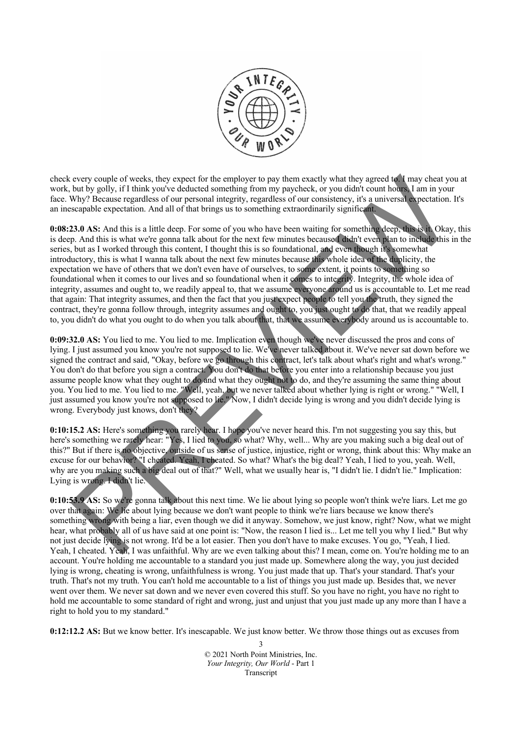

check every couple of weeks, they expect for the employer to pay them exactly what they agreed to. I may cheat you at work, but by golly, if I think you've deducted something from my paycheck, or you didn't count hours, I am in your face. Why? Because regardless of our personal integrity, regardless of our consistency, it's a universal expectation. It's an inescapable expectation. And all of that brings us to something extraordinarily significant.

**0:08:23.0 AS:** And this is a little deep. For some of you who have been waiting for something deep, this is it. Okay, this is deep. And this is what we're gonna talk about for the next few minutes because I didn't even plan to include this in the series, but as I worked through this content, I thought this is so foundational, and even though it's somewhat introductory, this is what I wanna talk about the next few minutes because this whole idea of the duplicity, the expectation we have of others that we don't even have of ourselves, to some extent, it points to something so foundational when it comes to our lives and so foundational when it comes to integrity. Integrity, the whole idea of integrity, assumes and ought to, we readily appeal to, that we assume everyone around us is accountable to. Let me read that again: That integrity assumes, and then the fact that you just expect people to tell you the truth, they signed the contract, they're gonna follow through, integrity assumes and ought to, you just ought to do that, that we readily appeal to, you didn't do what you ought to do when you talk about that, that we assume everybody around us is accountable to. every couple of weeks, they expect for the employer to pay them exactly what they agreed to [may cheat your sect of the may be several the state of the may be several in the state of the may be several in the state of our

**0:09:32.0 AS:** You lied to me. You lied to me. Implication even though we've never discussed the pros and cons of lying. I just assumed you know you're not supposed to lie. We've never talked about it. We've never sat down before we signed the contract and said, "Okay, before we go through this contract, let's talk about what's right and what's wrong." You don't do that before you sign a contract. You don't do that before you enter into a relationship because you just assume people know what they ought to do and what they ought not to do, and they're assuming the same thing about you. You lied to me. You lied to me. "Well, yeah, but we never talked about whether lying is right or wrong." "Well, I just assumed you know you're not supposed to lie." Now, I didn't decide lying is wrong and you didn't decide lying is wrong. Everybody just knows, don't they?

**0:10:15.2 AS:** Here's something you rarely hear. I hope you've never heard this. I'm not suggesting you say this, but here's something we rarely hear: "Yes, I lied to you, so what? Why, well... Why are you making such a big deal out of this?" But if there is no objective, outside of us sense of justice, injustice, right or wrong, think about this: Why make an excuse for our behavior? "I cheated. Yeah, I cheated. So what? What's the big deal? Yeah, I lied to you, yeah. Well, why are you making such a big deal out of that?" Well, what we usually hear is, "I didn't lie. I didn't lie." Implication: Lying is wrong. I didn't lie.

**0:10:53.9 AS:** So we're gonna talk about this next time. We lie about lying so people won't think we're liars. Let me go over that again: We lie about lying because we don't want people to think we're liars because we know there's something wrong with being a liar, even though we did it anyway. Somehow, we just know, right? Now, what we might hear, what probably all of us have said at one point is: "Now, the reason I lied is... Let me tell you why I lied." But why not just decide lying is not wrong. It'd be a lot easier. Then you don't have to make excuses. You go, "Yeah, I lied. Yeah, I cheated. Yeah, I was unfaithful. Why are we even talking about this? I mean, come on. You're holding me to an account. You're holding me accountable to a standard you just made up. Somewhere along the way, you just decided lying is wrong, cheating is wrong, unfaithfulness is wrong. You just made that up. That's your standard. That's your truth. That's not my truth. You can't hold me accountable to a list of things you just made up. Besides that, we never went over them. We never sat down and we never even covered this stuff. So you have no right, you have no right to hold me accountable to some standard of right and wrong, just and unjust that you just made up any more than I have a right to hold you to my standard."

**0:12:12.2 AS:** But we know better. It's inescapable. We just know better. We throw those things out as excuses from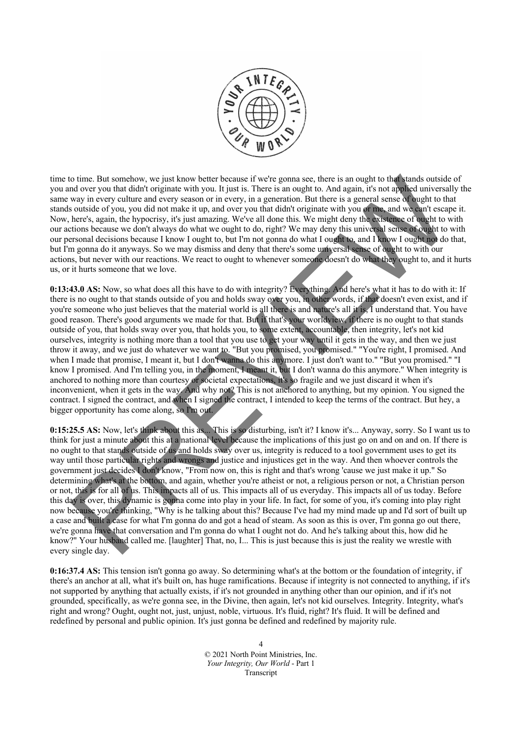

time to time. But somehow, we just know better because if we're gonna see, there is an ought to that stands outside of you and over you that didn't originate with you. It just is. There is an ought to. And again, it's not applied universally the same way in every culture and every season or in every, in a generation. But there is a general sense of ought to that stands outside of you, you did not make it up, and over you that didn't originate with you or me, and we can't escape it. Now, here's, again, the hypocrisy, it's just amazing. We've all done this. We might deny the existence of ought to with our actions because we don't always do what we ought to do, right? We may deny this universal sense of ought to with our personal decisions because I know I ought to, but I'm not gonna do what I ought to, and I know I ought not do that, but I'm gonna do it anyways. So we may dismiss and deny that there's some universal sense of ought to with our actions, but never with our reactions. We react to ought to whenever someone doesn't do what they ought to, and it hurts us, or it hurts someone that we love.

**0:13:43.0 AS:** Now, so what does all this have to do with integrity? Everything. And here's what it has to do with it: If there is no ought to that stands outside of you and holds sway over you, in other words, if that doesn't even exist, and if you're someone who just believes that the material world is all there is and nature's all it is, I understand that. You have good reason. There's good arguments we made for that. But if that's your worldview, if there is no ought to that stands outside of you, that holds sway over you, that holds you, to some extent, accountable, then integrity, let's not kid ourselves, integrity is nothing more than a tool that you use to get your way until it gets in the way, and then we just throw it away, and we just do whatever we want to. "But you promised, you promised." "You're right, I promised. And when I made that promise, I meant it, but I don't wanna do this anymore. I just don't want to." "But you promised." "I know I promised. And I'm telling you, in the moment, I meant it, but I don't wanna do this anymore." When integrity is anchored to nothing more than courtesy or societal expectations, it's so fragile and we just discard it when it's inconvenient, when it gets in the way. And why not? This is not anchored to anything, but my opinion. You signed the contract. I signed the contract, and when I signed the contract, I intended to keep the terms of the contract. But hey, a bigger opportunity has come along, so I'm out. time. But somehow, we just know better because if were gonna see, there is manualit to the standard state<br>of origy our that didn't originate with you. It just is. There is an ought to. And again, if s not ap-he duriversal<br>

**0:15:25.5 AS:** Now, let's think about this as... This is so disturbing, isn't it? I know it's... Anyway, sorry. So I want us to think for just a minute about this at a national level because the implications of this just go on and on and on. If there is no ought to that stands outside of us and holds sway over us, integrity is reduced to a tool government uses to get its way until those particular rights and wrongs and justice and injustices get in the way. And then whoever controls the government just decides I don't know, "From now on, this is right and that's wrong 'cause we just make it up." So determining what's at the bottom, and again, whether you're atheist or not, a religious person or not, a Christian person or not, this is for all of us. This impacts all of us. This impacts all of us everyday. This impacts all of us today. Before this day is over, this dynamic is gonna come into play in your life. In fact, for some of you, it's coming into play right now because you're thinking, "Why is he talking about this? Because I've had my mind made up and I'd sort of built up a case and built a case for what I'm gonna do and got a head of steam. As soon as this is over, I'm gonna go out there, we're gonna have that conversation and I'm gonna do what I ought not do. And he's talking about this, how did he know?" Your husband called me. [laughter] That, no, I... This is just because this is just the reality we wrestle with every single day.

**0:16:37.4 AS:** This tension isn't gonna go away. So determining what's at the bottom or the foundation of integrity, if there's an anchor at all, what it's built on, has huge ramifications. Because if integrity is not connected to anything, if it's not supported by anything that actually exists, if it's not grounded in anything other than our opinion, and if it's not grounded, specifically, as we're gonna see, in the Divine, then again, let's not kid ourselves. Integrity. Integrity, what's right and wrong? Ought, ought not, just, unjust, noble, virtuous. It's fluid, right? It's fluid. It will be defined and redefined by personal and public opinion. It's just gonna be defined and redefined by majority rule.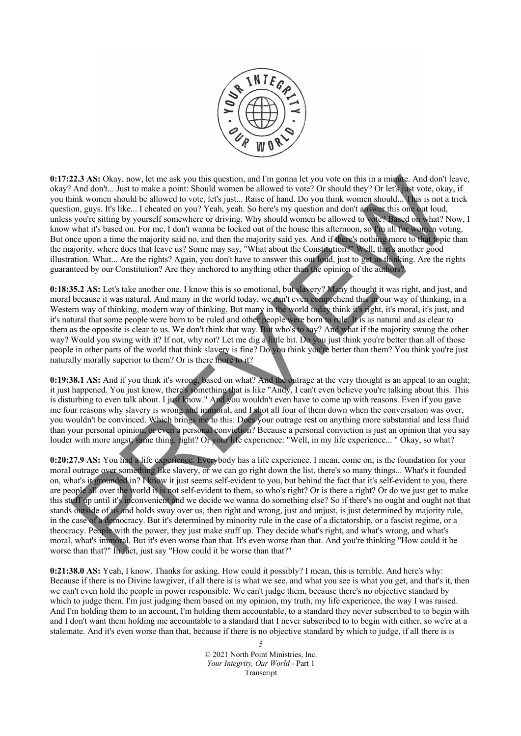

**0:17:22.3 AS:** Okay, now, let me ask you this question, and I'm gonna let you vote on this in a minute. And don't leave, okay? And don't... Just to make a point: Should women be allowed to vote? Or should they? Or let's just vote, okay, if you think women should be allowed to vote, let's just... Raise of hand. Do you think women should... This is not a trick question, guys. It's like... I cheated on you? Yeah, yeah. So here's my question and don't answer this one out loud, unless you're sitting by yourself somewhere or driving. Why should women be allowed to vote? Based on what? Now, I know what it's based on. For me, I don't wanna be locked out of the house this afternoon, so I'm all for women voting. But once upon a time the majority said no, and then the majority said yes. And if there's nothing more to that topic than the majority, where does that leave us? Some may say, "What about the Constitution?" Well, that's another good illustration. What... Are the rights? Again, you don't have to answer this out loud, just to get us thinking. Are the rights guaranteed by our Constitution? Are they anchored to anything other than the opinion of the authors? 22.3 AS: Lear, now, let me ask you this question, and Tm goma let you to for this in a mindle. And don't... Just to make a point Should women be allowed to vote? Or should they if Or is metallahily women, should be allowe

**0:18:35.2 AS:** Let's take another one. I know this is so emotional, but slavery? Many thought it was right, and just, and moral because it was natural. And many in the world today, we can't even comprehend this in our way of thinking, in a Western way of thinking, modern way of thinking. But many in the world today think it's right, it's moral, it's just, and it's natural that some people were born to be ruled and other people were born to rule. It is as natural and as clear to them as the opposite is clear to us. We don't think that way. But who's to say? And what if the majority swung the other way? Would you swing with it? If not, why not? Let me dig a little bit. Do you just think you're better than all of those people in other parts of the world that think slavery is fine? Do you think you're better than them? You think you're just naturally morally superior to them? Or is there more to it?

**0:19:38.1 AS:** And if you think it's wrong, based on what? And the outrage at the very thought is an appeal to an ought; it just happened. You just know, there's something that is like "Andy, I can't even believe you're talking about this. This is disturbing to even talk about. I just know." And you wouldn't even have to come up with reasons. Even if you gave me four reasons why slavery is wrong and immoral, and I shot all four of them down when the conversation was over, you wouldn't be convinced. Which brings me to this: Does your outrage rest on anything more substantial and less fluid than your personal opinion, or even a personal conviction? Because a personal conviction is just an opinion that you say louder with more angst; same thing, right? Or your life experience: "Well, in my life experience... " Okay, so what?

**0:20:27.9 AS:** You had a life experience. Everybody has a life experience. I mean, come on, is the foundation for your moral outrage over something like slavery, or we can go right down the list, there's so many things... What's it founded on, what's it grounded in? I know it just seems self-evident to you, but behind the fact that it's self-evident to you, there are people all over the world it is not self-evident to them, so who's right? Or is there a right? Or do we just get to make this stuff up until it's inconvenient and we decide we wanna do something else? So if there's no ought and ought not that stands outside of us and holds sway over us, then right and wrong, just and unjust, is just determined by majority rule, in the case of a democracy. But it's determined by minority rule in the case of a dictatorship, or a fascist regime, or a theocracy. People with the power, they just make stuff up. They decide what's right, and what's wrong, and what's moral, what's immoral. But it's even worse than that. It's even worse than that. And you're thinking "How could it be worse than that?" In fact, just say "How could it be worse than that?"

**0:21:38.0 AS:** Yeah, I know. Thanks for asking. How could it possibly? I mean, this is terrible. And here's why: Because if there is no Divine lawgiver, if all there is is what we see, and what you see is what you get, and that's it, then we can't even hold the people in power responsible. We can't judge them, because there's no objective standard by which to judge them. I'm just judging them based on my opinion, my truth, my life experience, the way I was raised. And I'm holding them to an account, I'm holding them accountable, to a standard they never subscribed to to begin with and I don't want them holding me accountable to a standard that I never subscribed to to begin with either, so we're at a stalemate. And it's even worse than that, because if there is no objective standard by which to judge, if all there is is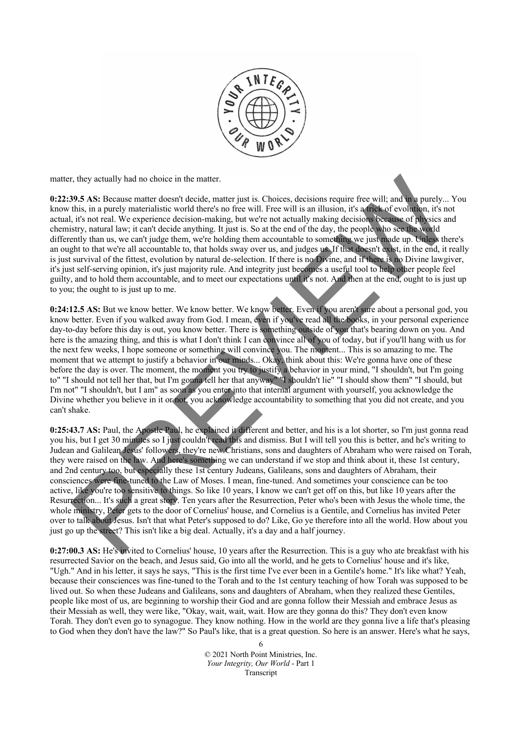

matter, they actually had no choice in the matter.

**0:22:39.5 AS:** Because matter doesn't decide, matter just is. Choices, decisions require free will; and in a purely... You know this, in a purely materialistic world there's no free will. Free will is an illusion, it's a trick of evolution, it's not actual, it's not real. We experience decision-making, but we're not actually making decisions because of physics and chemistry, natural law; it can't decide anything. It just is. So at the end of the day, the people who see the world differently than us, we can't judge them, we're holding them accountable to something we just made up. Unless there's an ought to that we're all accountable to, that holds sway over us, and judges us. If that doesn't exist, in the end, it really is just survival of the fittest, evolution by natural de-selection. If there is no Divine, and if there is no Divine lawgiver, it's just self-serving opinion, it's just majority rule. And integrity just becomes a useful tool to help other people feel guilty, and to hold them accountable, and to meet our expectations until it's not. And then at the end, ought to is just up to you; the ought to is just up to me.

**0:24:12.5 AS:** But we know better. We know better. We know better. Even if you aren't sure about a personal god, you know better. Even if you walked away from God. I mean, even if you've read all the books, in your personal experience day-to-day before this day is out, you know better. There is something outside of you that's bearing down on you. And here is the amazing thing, and this is what I don't think I can convince all of you of today, but if you'll hang with us for the next few weeks, I hope someone or something will convince you. The moment... This is so amazing to me. The moment that we attempt to justify a behavior in our minds... Okay, think about this: We're gonna have one of these before the day is over. The moment, the moment you try to justify a behavior in your mind, "I shouldn't, but I'm going to" "I should not tell her that, but I'm gonna tell her that anyway" "I shouldn't lie" "I should show them" "I should, but I'm not" "I shouldn't, but I am" as soon as you enter into that internal argument with yourself, you acknowledge the Divine whether you believe in it or not, you acknowledge accountability to something that you did not create, and you can't shake.

**0:25:43.7 AS:** Paul, the Apostle Paul, he explained it different and better, and his is a lot shorter, so I'm just gonna read you his, but I get 30 minutes so I just couldn't read this and dismiss. But I will tell you this is better, and he's writing to Judean and Galilean Jesus' followers, they're new Christians, sons and daughters of Abraham who were raised on Torah, they were raised on the law. And here's something we can understand if we stop and think about it, these 1st century, and 2nd century too, but especially these 1st century Judeans, Galileans, sons and daughters of Abraham, their consciences were fine-tuned to the Law of Moses. I mean, fine-tuned. And sometimes your conscience can be too active, like you're too sensitive to things. So like 10 years, I know we can't get off on this, but like 10 years after the Resurrection... It's such a great story. Ten years after the Resurrection, Peter who's been with Jesus the whole time, the whole ministry, Peter gets to the door of Cornelius' house, and Cornelius is a Gentile, and Cornelius has invited Peter over to talk about Jesus. Isn't that what Peter's supposed to do? Like, Go ye therefore into all the world. How about you just go up the street? This isn't like a big deal. Actually, it's a day and a half journey. r, they actually had no choice in the matter.<br>
29.5 AS: Recause matter dustrice fucient at the same relations require free will; and was purely...<br>
this, in a purely meterialistic world there's no free will. Free will is a

**0:27:00.3 AS:** He's invited to Cornelius' house, 10 years after the Resurrection. This is a guy who ate breakfast with his resurrected Savior on the beach, and Jesus said, Go into all the world, and he gets to Cornelius' house and it's like, "Ugh." And in his letter, it says he says, "This is the first time I've ever been in a Gentile's home." It's like what? Yeah, because their consciences was fine-tuned to the Torah and to the 1st century teaching of how Torah was supposed to be lived out. So when these Judeans and Galileans, sons and daughters of Abraham, when they realized these Gentiles, people like most of us, are beginning to worship their God and are gonna follow their Messiah and embrace Jesus as their Messiah as well, they were like, "Okay, wait, wait, wait. How are they gonna do this? They don't even know Torah. They don't even go to synagogue. They know nothing. How in the world are they gonna live a life that's pleasing to God when they don't have the law?" So Paul's like, that is a great question. So here is an answer. Here's what he says,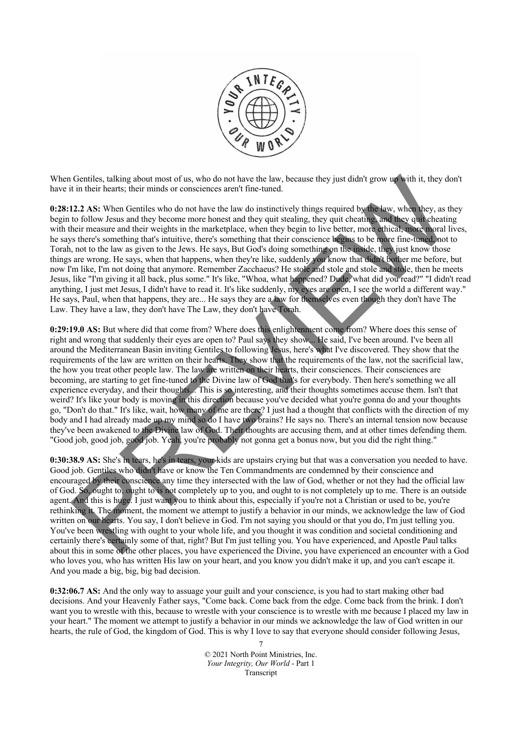

When Gentiles, talking about most of us, who do not have the law, because they just didn't grow up with it, they don't have it in their hearts; their minds or consciences aren't fine-tuned.

**0:28:12.2 AS:** When Gentiles who do not have the law do instinctively things required by the law, when they, as they begin to follow Jesus and they become more honest and they quit stealing, they quit cheating, and they quit cheating with their measure and their weights in the marketplace, when they begin to live better, more ethical, more moral lives, he says there's something that's intuitive, there's something that their conscience begins to be more fine-tuned, not to Torah, not to the law as given to the Jews. He says, But God's doing something on the inside, they just know those things are wrong. He says, when that happens, when they're like, suddenly you know that didn't bother me before, but now I'm like, I'm not doing that anymore. Remember Zacchaeus? He stole and stole and stole and stole, then he meets Jesus, like "I'm giving it all back, plus some." It's like, "Whoa, what happened? Dude, what did you read?" "I didn't read anything, I just met Jesus, I didn't have to read it. It's like suddenly, my eyes are open, I see the world a different way." He says, Paul, when that happens, they are... He says they are a law for themselves even though they don't have The Law. They have a law, they don't have The Law, they don't have Torah.

**0:29:19.0 AS:** But where did that come from? Where does this enlightenment come from? Where does this sense of right and wrong that suddenly their eyes are open to? Paul says they show... He said, I've been around. I've been all around the Mediterranean Basin inviting Gentiles to following Jesus, here's what I've discovered. They show that the requirements of the law are written on their hearts. They show that the requirements of the law, not the sacrificial law, the how you treat other people law. The law are written on their hearts, their consciences. Their consciences are becoming, are starting to get fine-tuned to the Divine law of God that's for everybody. Then here's something we all experience everyday, and their thoughts... This is so interesting, and their thoughts sometimes accuse them. Isn't that weird? It's like your body is moving in this direction because you've decided what you're gonna do and your thoughts go, "Don't do that." It's like, wait, how many of me are there? I just had a thought that conflicts with the direction of my body and I had already made up my mind so do I have two brains? He says no. There's an internal tension now because they've been awakened to the Divine law of God. Their thoughts are accusing them, and at other times defending them. "Good job, good job, good job. Yeah, you're probably not gonna get a bonus now, but you did the right thing." Gentiles, that also in most of two do not have the law, because they just didn't grow up with it, they do<br>contribute about most of two do not have the law do instinctively things required by the law, when hey, as the<br>12.2

**0:30:38.9 AS:** She's in tears, he's in tears, your kids are upstairs crying but that was a conversation you needed to have. Good job. Gentiles who didn't have or know the Ten Commandments are condemned by their conscience and encouraged by their conscience any time they intersected with the law of God, whether or not they had the official law of God. So, ought to, ought to is not completely up to you, and ought to is not completely up to me. There is an outside agent. And this is huge. I just want you to think about this, especially if you're not a Christian or used to be, you're rethinking it. The moment, the moment we attempt to justify a behavior in our minds, we acknowledge the law of God written on our hearts. You say, I don't believe in God. I'm not saying you should or that you do, I'm just telling you. You've been wrestling with ought to your whole life, and you thought it was condition and societal conditioning and certainly there's certainly some of that, right? But I'm just telling you. You have experienced, and Apostle Paul talks about this in some of the other places, you have experienced the Divine, you have experienced an encounter with a God who loves you, who has written His law on your heart, and you know you didn't make it up, and you can't escape it. And you made a big, big, big bad decision.

**0:32:06.7 AS:** And the only way to assuage your guilt and your conscience, is you had to start making other bad decisions. And your Heavenly Father says, "Come back. Come back from the edge. Come back from the brink. I don't want you to wrestle with this, because to wrestle with your conscience is to wrestle with me because I placed my law in your heart." The moment we attempt to justify a behavior in our minds we acknowledge the law of God written in our hearts, the rule of God, the kingdom of God. This is why I love to say that everyone should consider following Jesus,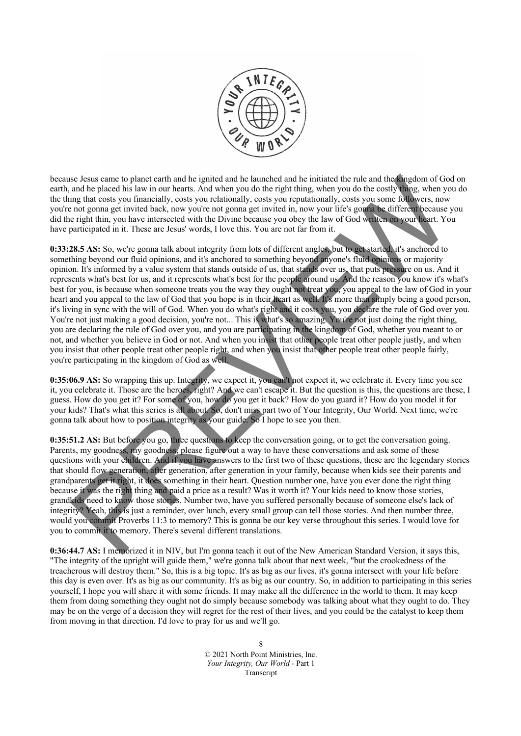

because Jesus came to planet earth and he ignited and he launched and he initiated the rule and the kingdom of God on earth, and he placed his law in our hearts. And when you do the right thing, when you do the costly thing, when you do the thing that costs you financially, costs you relationally, costs you reputationally, costs you some followers, now you're not gonna get invited back, now you're not gonna get invited in, now your life's gonna be different because you did the right thin, you have intersected with the Divine because you obey the law of God written on your heart. You have participated in it. These are Jesus' words, I love this. You are not far from it.

**0:33:28.5 AS:** So, we're gonna talk about integrity from lots of different angles, but to get started, it's anchored to something beyond our fluid opinions, and it's anchored to something beyond anyone's fluid opinions or majority opinion. It's informed by a value system that stands outside of us, that stands over us, that puts pressure on us. And it represents what's best for us, and it represents what's best for the people around us. And the reason you know it's what's best for you, is because when someone treats you the way they ought not treat you, you appeal to the law of God in your heart and you appeal to the law of God that you hope is in their heart as well. It's more than simply being a good person, it's living in sync with the will of God. When you do what's right and it costs you, you declare the rule of God over you. You're not just making a good decision, you're not... This is what's so amazing. You're not just doing the right thing, you are declaring the rule of God over you, and you are participating in the kingdom of God, whether you meant to or not, and whether you believe in God or not. And when you insist that other people treat other people justly, and when you insist that other people treat other people right, and when you insist that other people treat other people fairly, you're participating in the kingdom of God as well. se Jeaus cannet to planet earth and the ignited and he launched and he initiated the rule and the function of God were some of the state and the initiated the rule and the function of God were spin and tests you framewith

**0:35:06.9 AS:** So wrapping this up. Integrity, we expect it, you can't not expect it, we celebrate it. Every time you see it, you celebrate it. Those are the heroes, right? And we can't escape it. But the question is this, the questions are these, I guess. How do you get it? For some of you, how do you get it back? How do you guard it? How do you model it for your kids? That's what this series is all about. So, don't miss part two of Your Integrity, Our World. Next time, we're gonna talk about how to position integrity as your guide. So I hope to see you then.

**0:35:51.2 AS:** But before you go, three questions to keep the conversation going, or to get the conversation going. Parents, my goodness, my goodness, please figure out a way to have these conversations and ask some of these questions with your children. And if you have answers to the first two of these questions, these are the legendary stories that should flow generation, after generation, after generation in your family, because when kids see their parents and grandparents get it right, it does something in their heart. Question number one, have you ever done the right thing because it was the right thing and paid a price as a result? Was it worth it? Your kids need to know those stories, grandkids need to know those stories. Number two, have you suffered personally because of someone else's lack of integrity? Yeah, this is just a reminder, over lunch, every small group can tell those stories. And then number three, would you commit Proverbs 11:3 to memory? This is gonna be our key verse throughout this series. I would love for you to commit it to memory. There's several different translations.

**0:36:44.7 AS:** I memorized it in NIV, but I'm gonna teach it out of the New American Standard Version, it says this, "The integrity of the upright will guide them," we're gonna talk about that next week, "but the crookedness of the treacherous will destroy them." So, this is a big topic. It's as big as our lives, it's gonna intersect with your life before this day is even over. It's as big as our community. It's as big as our country. So, in addition to participating in this series yourself, I hope you will share it with some friends. It may make all the difference in the world to them. It may keep them from doing something they ought not do simply because somebody was talking about what they ought to do. They may be on the verge of a decision they will regret for the rest of their lives, and you could be the catalyst to keep them from moving in that direction. I'd love to pray for us and we'll go.